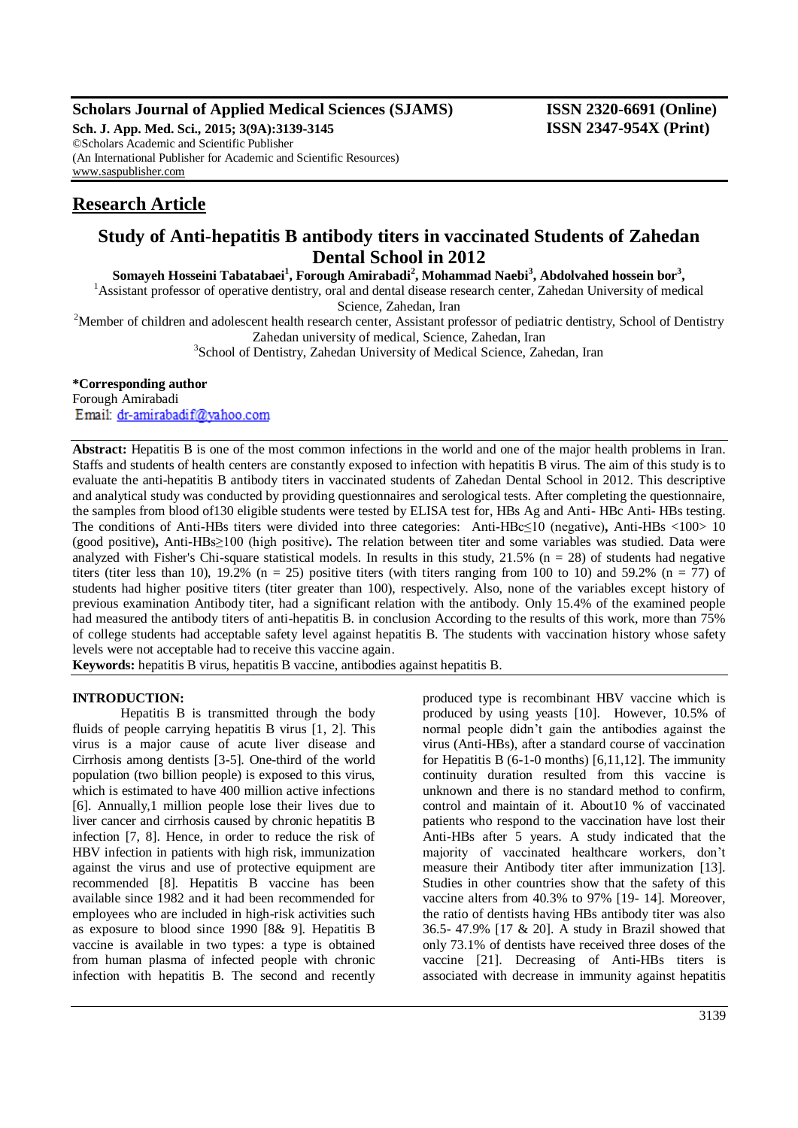# **Scholars Journal of Applied Medical Sciences (SJAMS) ISSN 2320-6691 (Online)**

**Sch. J. App. Med. Sci., 2015; 3(9A):3139-3145 ISSN 2347-954X (Print)** ©Scholars Academic and Scientific Publisher (An International Publisher for Academic and Scientific Resources) [www.saspublisher.com](http://www.saspublisher.com/)

# **Research Article**

# **Study of Anti-hepatitis B antibody titers in vaccinated Students of Zahedan**

**Dental School in 2012**

**Somayeh Hosseini Tabatabaei<sup>1</sup> , Forough Amirabadi<sup>2</sup> , Mohammad Naebi<sup>3</sup> , Abdolvahed hossein bor<sup>3</sup> ,**

<sup>1</sup>Assistant professor of operative dentistry, oral and dental disease research center, Zahedan University of medical Science, Zahedan, Iran

<sup>2</sup>Member of children and adolescent health research center, Assistant professor of pediatric dentistry, School of Dentistry Zahedan university of medical, Science, Zahedan, Iran

<sup>3</sup>School of Dentistry, Zahedan University of Medical Science, Zahedan, Iran

### **\*Corresponding author**

Forough Amirabadi Email: dr-amirabadif@yahoo.com

**Abstract:** Hepatitis B is one of the most common infections in the world and one of the major health problems in Iran. Staffs and students of health centers are constantly exposed to infection with hepatitis B virus. The aim of this study is to evaluate the anti-hepatitis B antibody titers in vaccinated students of Zahedan Dental School in 2012. This descriptive and analytical study was conducted by providing questionnaires and serological tests. After completing the questionnaire, the samples from blood of130 eligible students were tested by ELISA test for, HBs Ag and Anti- HBc Anti- HBs testing. The conditions of Anti-HBs titers were divided into three categories:Anti-HBc≤10 (negative)**,** Anti-HBs <100> 10 (good positive)**,** Anti-HBs≥100 (high positive)**.** The relation between titer and some variables was studied. Data were analyzed with Fisher's Chi-square statistical models. In results in this study,  $21.5\%$  (n = 28) of students had negative titers (titer less than 10), 19.2% ( $n = 25$ ) positive titers (with titers ranging from 100 to 10) and 59.2% ( $n = 77$ ) of students had higher positive titers (titer greater than 100), respectively. Also, none of the variables except history of previous examination Antibody titer, had a significant relation with the antibody. Only 15.4% of the examined people had measured the antibody titers of anti-hepatitis B. in conclusion According to the results of this work, more than 75% of college students had acceptable safety level against hepatitis B. The students with vaccination history whose safety levels were not acceptable had to receive this vaccine again.

**Keywords:** hepatitis B virus, hepatitis B vaccine, antibodies against hepatitis B.

#### **INTRODUCTION:**

Hepatitis B is transmitted through the body fluids of people carrying hepatitis B virus [1, 2]. This virus is a major cause of acute liver disease and Cirrhosis among dentists [3-5]. One-third of the world population (two billion people) is exposed to this virus, which is estimated to have 400 million active infections [6]. Annually,1 million people lose their lives due to liver cancer and cirrhosis caused by chronic hepatitis B infection [7, 8]. Hence, in order to reduce the risk of HBV infection in patients with high risk, immunization against the virus and use of protective equipment are recommended [8]. Hepatitis B vaccine has been available since 1982 and it had been recommended for employees who are included in high-risk activities such as exposure to blood since 1990 [8& 9]. Hepatitis B vaccine is available in two types: a type is obtained from human plasma of infected people with chronic infection with hepatitis B. The second and recently

produced type is recombinant HBV vaccine which is produced by using yeasts [10]. However, 10.5% of normal people didn't gain the antibodies against the virus (Anti-HBs), after a standard course of vaccination for Hepatitis B  $(6-1-0 \text{ months})$   $[6,11,12]$ . The immunity continuity duration resulted from this vaccine is unknown and there is no standard method to confirm, control and maintain of it. About10 % of vaccinated patients who respond to the vaccination have lost their Anti-HBs after 5 years. A study indicated that the majority of vaccinated healthcare workers, don't measure their Antibody titer after immunization [13]. Studies in other countries show that the safety of this vaccine alters from 40.3% to 97% [19- 14]. Moreover, the ratio of dentists having HBs antibody titer was also 36.5- 47.9% [17 & 20]. A study in Brazil showed that only 73.1% of dentists have received three doses of the vaccine [21]. Decreasing of Anti-HBs titers is associated with decrease in immunity against hepatitis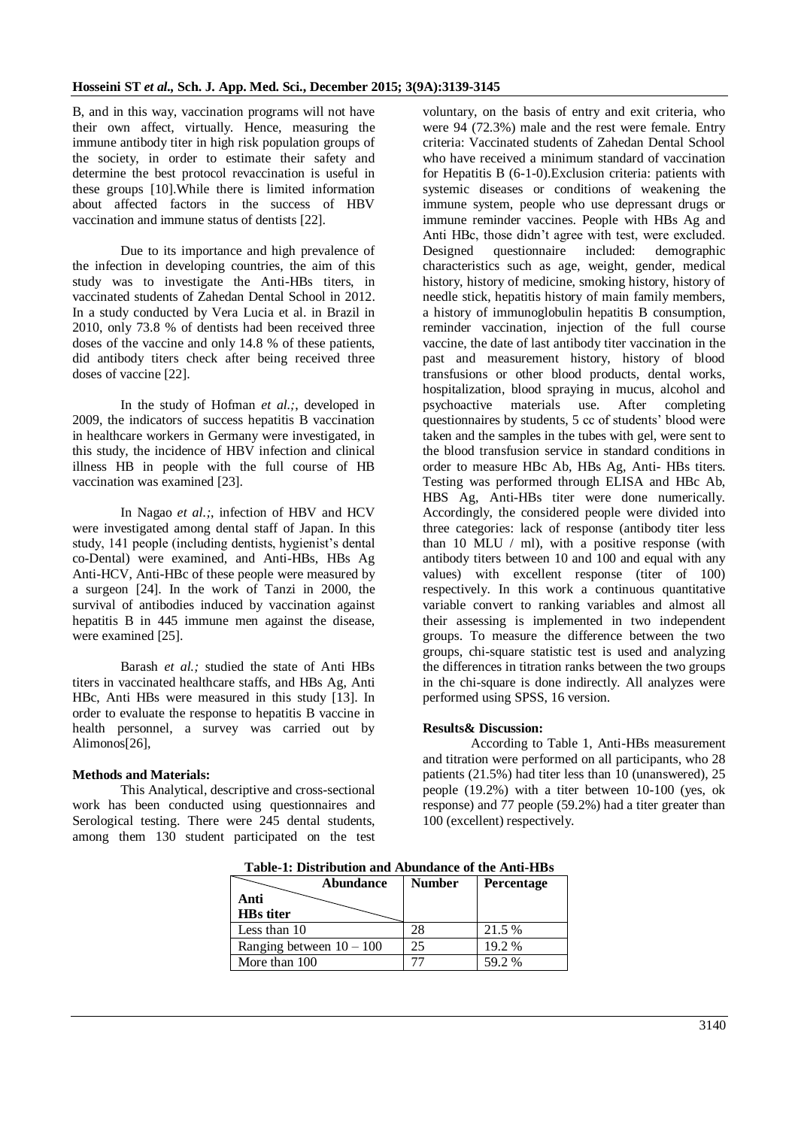B, and in this way, vaccination programs will not have their own affect, virtually. Hence, measuring the immune antibody titer in high risk population groups of the society, in order to estimate their safety and determine the best protocol revaccination is useful in these groups [10].While there is limited information about affected factors in the success of HBV vaccination and immune status of dentists [22].

Due to its importance and high prevalence of the infection in developing countries, the aim of this study was to investigate the Anti-HBs titers, in vaccinated students of Zahedan Dental School in 2012. In a study conducted by Vera Lucia et al. in Brazil in 2010, only 73.8 % of dentists had been received three doses of the vaccine and only 14.8 % of these patients, did antibody titers check after being received three doses of vaccine [22].

In the study of Hofman *et al.;*, developed in 2009, the indicators of success hepatitis B vaccination in healthcare workers in Germany were investigated, in this study, the incidence of HBV infection and clinical illness HB in people with the full course of HB vaccination was examined [23].

In Nagao *et al.*; infection of HBV and HCV were investigated among dental staff of Japan. In this study, 141 people (including dentists, hygienist's dental co-Dental) were examined, and Anti-HBs, HBs Ag Anti-HCV, Anti-HBc of these people were measured by a surgeon [24]. In the work of Tanzi in 2000, the survival of antibodies induced by vaccination against hepatitis B in 445 immune men against the disease, were examined [25].

Barash *et al.;* studied the state of Anti HBs titers in vaccinated healthcare staffs, and HBs Ag, Anti HBc, Anti HBs were measured in this study [13]. In order to evaluate the response to hepatitis B vaccine in health personnel, a survey was carried out by Alimonos[26],

# **Methods and Materials:**

This Analytical, descriptive and cross-sectional work has been conducted using questionnaires and Serological testing. There were 245 dental students, among them 130 student participated on the test

voluntary, on the basis of entry and exit criteria, who were 94 (72.3%) male and the rest were female. Entry criteria: Vaccinated students of Zahedan Dental School who have received a minimum standard of vaccination for Hepatitis B (6-1-0).Exclusion criteria: patients with systemic diseases or conditions of weakening the immune system, people who use depressant drugs or immune reminder vaccines. People with HBs Ag and Anti HBc, those didn't agree with test, were excluded. Designed questionnaire included: demographic characteristics such as age, weight, gender, medical history, history of medicine, smoking history, history of needle stick, hepatitis history of main family members, a history of immunoglobulin hepatitis B consumption, reminder vaccination, injection of the full course vaccine, the date of last antibody titer vaccination in the past and measurement history, history of blood transfusions or other blood products, dental works, hospitalization, blood spraying in mucus, alcohol and psychoactive materials use. After completing questionnaires by students, 5 cc of students' blood were taken and the samples in the tubes with gel, were sent to the blood transfusion service in standard conditions in order to measure HBc Ab, HBs Ag, Anti- HBs titers. Testing was performed through ELISA and HBc Ab, HBS Ag, Anti-HBs titer were done numerically. Accordingly, the considered people were divided into three categories: lack of response (antibody titer less than 10 MLU  $/$  ml), with a positive response (with antibody titers between 10 and 100 and equal with any values) with excellent response (titer of 100) respectively. In this work a continuous quantitative variable convert to ranking variables and almost all their assessing is implemented in two independent groups. To measure the difference between the two groups, chi-square statistic test is used and analyzing the differences in titration ranks between the two groups in the chi-square is done indirectly. All analyzes were performed using SPSS, 16 version.

#### **Results& Discussion:**

According to Table 1, Anti-HBs measurement and titration were performed on all participants, who 28 patients (21.5%) had titer less than 10 (unanswered), 25 people (19.2%) with a titer between 10-100 (yes, ok response) and 77 people (59.2%) had a titer greater than 100 (excellent) respectively.

| Tavit-T. Distribution and Abundance of the And-TDs |               |                   |  |  |  |  |  |  |
|----------------------------------------------------|---------------|-------------------|--|--|--|--|--|--|
| Abundance                                          | <b>Number</b> | <b>Percentage</b> |  |  |  |  |  |  |
| Anti                                               |               |                   |  |  |  |  |  |  |
| <b>HBs</b> titer                                   |               |                   |  |  |  |  |  |  |
| Less than 10                                       | 28            | 21.5 %            |  |  |  |  |  |  |
| Ranging between $10 - 100$                         | 25            | 19.2 %            |  |  |  |  |  |  |
| More than 100                                      |               | 59.2 %            |  |  |  |  |  |  |

**Table-1: Distribution and Abundance of the Anti-HBs**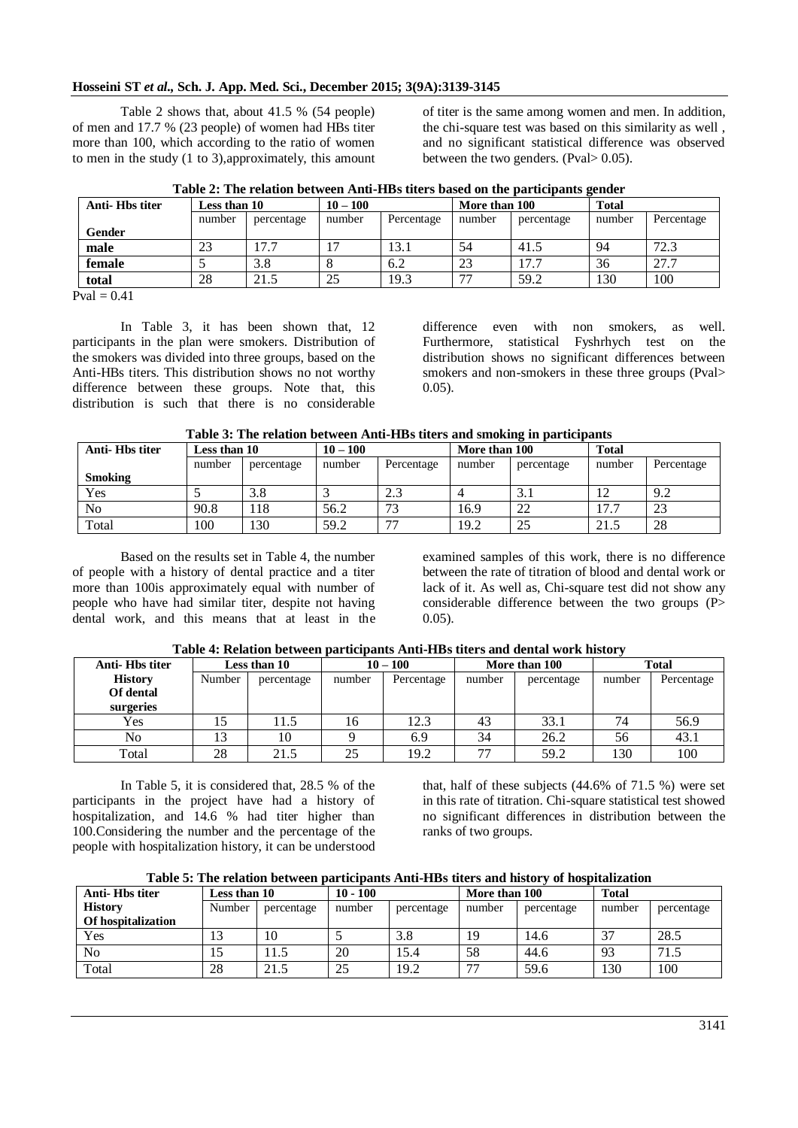#### **Hosseini ST** *et al.,* **Sch. J. App. Med. Sci., December 2015; 3(9A):3139-3145**

Table 2 shows that, about 41.5 % (54 people) of men and 17.7 % (23 people) of women had HBs titer more than 100, which according to the ratio of women to men in the study (1 to 3),approximately, this amount of titer is the same among women and men. In addition, the chi-square test was based on this similarity as well , and no significant statistical difference was observed between the two genders. (Pval> 0.05).

| Percentage<br>Percentage<br>number<br>percentage<br>number |
|------------------------------------------------------------|
|                                                            |
| 72.3<br>54<br>94<br>41.5                                   |
| 17.7<br>27.7<br>23<br>36                                   |
| 130<br>100<br>59.2<br>$\overline{\phantom{a}}$             |
| 19.3                                                       |

|  |  | Table 2: The relation between Anti-HBs titers based on the participants gender |  |
|--|--|--------------------------------------------------------------------------------|--|
|  |  |                                                                                |  |

 $Pval = 0.41$ 

In Table 3, it has been shown that, 12 participants in the plan were smokers. Distribution of the smokers was divided into three groups, based on the Anti-HBs titers. This distribution shows no not worthy difference between these groups. Note that, this distribution is such that there is no considerable

difference even with non smokers, as well. Furthermore, statistical Fyshrhych test on the distribution shows no significant differences between smokers and non-smokers in these three groups (Pval> 0.05).

| Table 3: The relation between Anti-HBs titers and smoking in participants |  |  |  |  |  |
|---------------------------------------------------------------------------|--|--|--|--|--|
|---------------------------------------------------------------------------|--|--|--|--|--|

| Anti-Hbs titer | Less than 10 |            | $10 - 100$ |            |        | More than 100 |            | <b>Total</b> |  |
|----------------|--------------|------------|------------|------------|--------|---------------|------------|--------------|--|
|                | number       | percentage | number     | Percentage | number | percentage    | number     | Percentage   |  |
| <b>Smoking</b> |              |            |            |            |        |               |            |              |  |
| Yes            |              | 3.8        |            | 2.3        |        | 3.1           | $\sqrt{2}$ | 9.2          |  |
| N <sub>o</sub> | 90.8         | 18         | 56.2       | 72         | 16.9   | 22            | 17.7       | 23           |  |
| Total          | 100          | .30        | 59.2       | 77         | 19.2   | 25            | 21.5       | 28           |  |

Based on the results set in Table 4, the number of people with a history of dental practice and a titer more than 100is approximately equal with number of people who have had similar titer, despite not having dental work, and this means that at least in the

examined samples of this work, there is no difference between the rate of titration of blood and dental work or lack of it. As well as, Chi-square test did not show any considerable difference between the two groups (P> 0.05).

| Anti-Hbs titer |        | Less than 10 |        | $10 - 100$ |        | More than 100 |        | <b>Total</b> |  |
|----------------|--------|--------------|--------|------------|--------|---------------|--------|--------------|--|
| <b>History</b> | Number | percentage   | number | Percentage | number | percentage    | number | Percentage   |  |
| Of dental      |        |              |        |            |        |               |        |              |  |
| surgeries      |        |              |        |            |        |               |        |              |  |
| Yes            |        | 11.5         | 16     | 12.3       | 43     | 33.1          | 74     | 56.9         |  |
| No             |        | 10           |        | 6.9        | 34     | 26.2          | 56     | 43.1         |  |
| Total          | 28     | 21.5         | 25     | 19.2       | 77     | 59.2          | 130    | 100          |  |

**Table 4: Relation between participants Anti-HBs titers and dental work history**

In Table 5, it is considered that, 28.5 % of the participants in the project have had a history of hospitalization, and 14.6 % had titer higher than 100.Considering the number and the percentage of the people with hospitalization history, it can be understood

that, half of these subjects  $(44.6\% \text{ of } 71.5 \%)$  were set in this rate of titration. Chi-square statistical test showed no significant differences in distribution between the ranks of two groups.

|  | Table 5: The relation between participants Anti-HBs titers and history of hospitalization |
|--|-------------------------------------------------------------------------------------------|
|  |                                                                                           |

| TWAIL LI TIIN LAININGI ALAMA ANTI MITTAMI ANTIMATIN TIINI TITA MAAN MITA INAAN TIIDA LAININGI AMA |              |            |            |            |                          |               |        |              |  |
|---------------------------------------------------------------------------------------------------|--------------|------------|------------|------------|--------------------------|---------------|--------|--------------|--|
| Anti-Hbs titer                                                                                    | Less than 10 |            | $10 - 100$ |            |                          | More than 100 |        | <b>Total</b> |  |
| <b>History</b>                                                                                    | Number       | percentage | number     | percentage | number                   | percentage    | number | percentage   |  |
| Of hospitalization                                                                                |              |            |            |            |                          |               |        |              |  |
| Yes                                                                                               | 13           | 10         |            | 3.8        | 19                       | 14.6          | 37     | 28.5         |  |
| N <sub>o</sub>                                                                                    | 10           |            | 20         | 15.4       | 58                       | 44.6          | 93     | 71.5         |  |
| Total                                                                                             | 28           | 21.5       | 25         | 19.2       | $\overline{\phantom{a}}$ | 59.6          | 130    | 100          |  |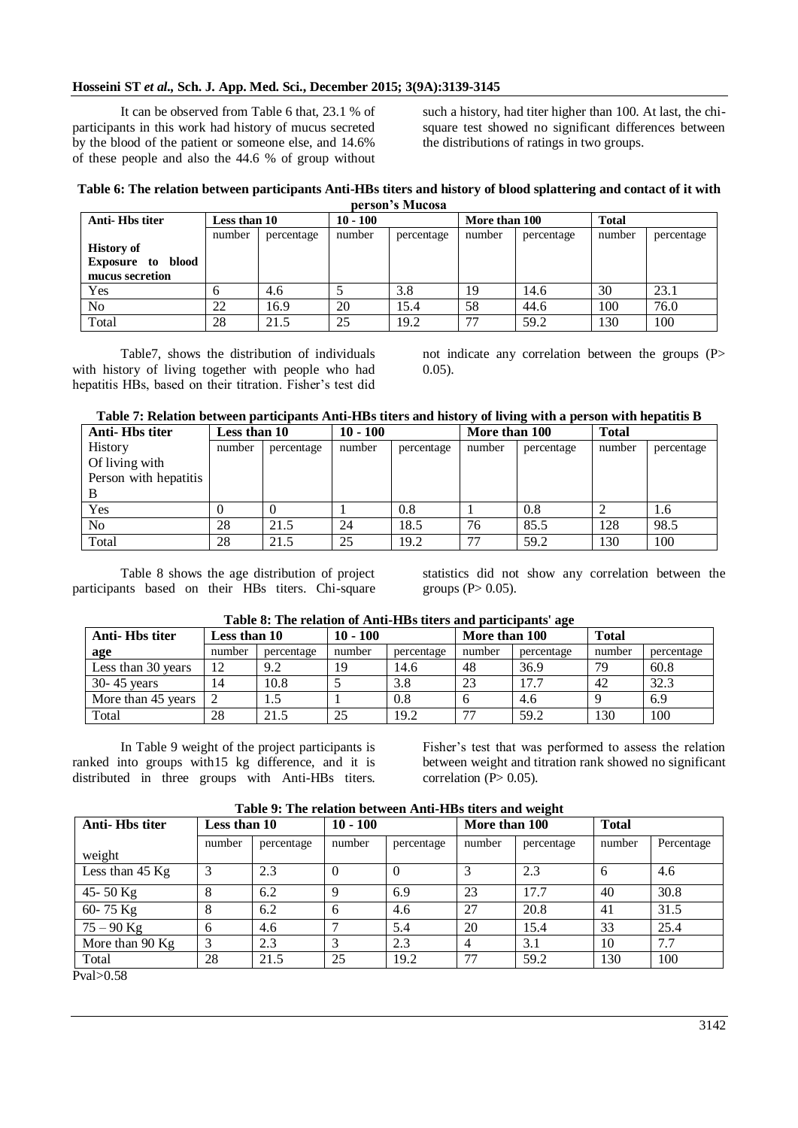#### **Hosseini ST** *et al.,* **Sch. J. App. Med. Sci., December 2015; 3(9A):3139-3145**

It can be observed from Table 6 that, 23.1 % of participants in this work had history of mucus secreted by the blood of the patient or someone else, and 14.6% of these people and also the 44.6 % of group without

such a history, had titer higher than 100. At last, the chisquare test showed no significant differences between the distributions of ratings in two groups.

#### **Table 6: The relation between participants Anti-HBs titers and history of blood splattering and contact of it with person's Mucosa**

| Anti-Hbs titer          | Less than 10 |            | $10 - 100$ |            | More than 100 |            | <b>Total</b> |            |
|-------------------------|--------------|------------|------------|------------|---------------|------------|--------------|------------|
|                         | number       | percentage | number     | percentage | number        | percentage | number       | percentage |
| <b>History of</b>       |              |            |            |            |               |            |              |            |
| blood<br>Exposure<br>to |              |            |            |            |               |            |              |            |
| mucus secretion         |              |            |            |            |               |            |              |            |
| Yes                     |              | 4.6        |            | 3.8        | 19            | 14.6       | 30           | 23.1       |
| No                      | 22           | 16.9       | 20         | 15.4       | 58            | 44.6       | 100          | 76.0       |
| Total                   | 28           | 21.5       | 25         | 19.2       | 77            | 59.2       | 130          | 100        |

Table7, shows the distribution of individuals with history of living together with people who had hepatitis HBs, based on their titration. Fisher's test did not indicate any correlation between the groups (P>  $0.05$ ).

#### **Table 7: Relation between participants Anti-HBs titers and history of living with a person with hepatitis B**

| Anti-Hbs titer        | Less than 10 |            | $10 - 100$ |            | More than 100 |            | <b>Total</b> |            |
|-----------------------|--------------|------------|------------|------------|---------------|------------|--------------|------------|
| History               | number       | percentage | number     | percentage | number        | percentage | number       | percentage |
| Of living with        |              |            |            |            |               |            |              |            |
| Person with hepatitis |              |            |            |            |               |            |              |            |
| B                     |              |            |            |            |               |            |              |            |
| Yes                   |              |            |            | 0.8        |               | 0.8        |              | 1.6        |
| N <sub>o</sub>        | 28           | 21.5       | 24         | 18.5       | 76            | 85.5       | 128          | 98.5       |
| Total                 | 28           | 21.5       | 25         | 19.2       | 77            | 59.2       | 130          | 100        |

Table 8 shows the age distribution of project participants based on their HBs titers. Chi-square

statistics did not show any correlation between the groups  $(P> 0.05)$ .

|                            |        | Table 8: The relation of Anti-HBs titers and participants' age |              |
|----------------------------|--------|----------------------------------------------------------------|--------------|
| $\overline{1}$ agg than 10 | 10 100 | $M$ <sub>ana</sub> than $100$                                  | $T_{\alpha}$ |

| Anti-Hbs titer     | Less than 10 |            | $10 - 100$ |            | More than 100 |            | <b>Total</b> |            |
|--------------------|--------------|------------|------------|------------|---------------|------------|--------------|------------|
| age                | number       | percentage | number     | percentage | number        | percentage | number       | percentage |
| Less than 30 years | 12           | 9.2        |            | 14.6       | 48            | 36.9       | 79           | 60.8       |
| $30 - 45$ years    | 14           | 10.8       |            | 3.8        | 23            | 17.7       | 42           | 32.3       |
| More than 45 years |              |            |            | 0.8        |               | 4.6        |              | 6.9        |
| Total              | 28           | 21.5       | 25         | 19.2       | 77            | 59.2       | 130          | 100        |

In Table 9 weight of the project participants is ranked into groups with15 kg difference, and it is distributed in three groups with Anti-HBs titers. Fisher's test that was performed to assess the relation between weight and titration rank showed no significant correlation  $(P> 0.05)$ .

| Table 9: The relation between Anti-HBs titers and weight |  |  |
|----------------------------------------------------------|--|--|
|                                                          |  |  |

| <b>Anti-Hbs titer</b> | Less than 10 |            | $10 - 100$ | More than 100 |        | <b>Total</b> |        |            |
|-----------------------|--------------|------------|------------|---------------|--------|--------------|--------|------------|
|                       | number       | percentage | number     | percentage    | number | percentage   | number | Percentage |
| weight                |              |            |            |               |        |              |        |            |
| Less than 45 Kg       |              | 2.3        | $\theta$   |               |        | 2.3          | h      | 4.6        |
| 45 - 50 $Kg$          | 8            | 6.2        | Q          | 6.9           | 23     | 17.7         | 40     | 30.8       |
| 60-75 Kg              | 8            | 6.2        | 6          | 4.6           | 27     | 20.8         | 41     | 31.5       |
| $75 - 90$ Kg          | 6            | 4.6        |            | 5.4           | 20     | 15.4         | 33     | 25.4       |
| More than 90 Kg       | 3            | 2.3        |            | 2.3           | 4      | 3.1          | 10     | 7.7        |
| Total                 | 28           | 21.5       | 25         | 19.2          | 77     | 59.2         | 130    | 100        |
| $D_{rad} > 0.50$      |              |            |            |               |        |              |        |            |

Pval>0.58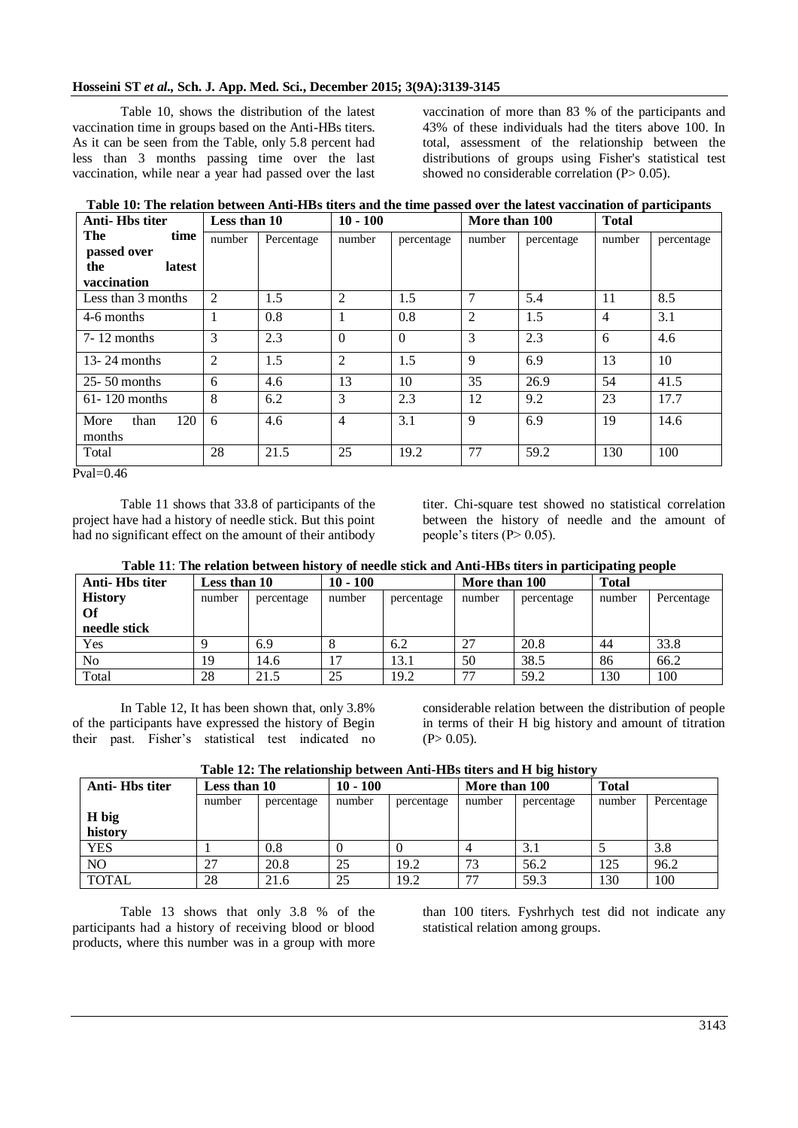Table 10, shows the distribution of the latest vaccination time in groups based on the Anti-HBs titers. As it can be seen from the Table, only 5.8 percent had less than 3 months passing time over the last vaccination, while near a year had passed over the last

vaccination of more than 83 % of the participants and 43% of these individuals had the titers above 100. In total, assessment of the relationship between the distributions of groups using Fisher's statistical test showed no considerable correlation  $(P> 0.05)$ .

**Table 10: The relation between Anti-HBs titers and the time passed over the latest vaccination of participants**

| <b>Anti-Hbs titer</b>         | Less than 10 |            | $10 - 100$     |            | More than 100  |            | <b>Total</b>   |            |
|-------------------------------|--------------|------------|----------------|------------|----------------|------------|----------------|------------|
| The<br>time                   | number       | Percentage | number         | percentage | number         | percentage | number         | percentage |
| passed over                   |              |            |                |            |                |            |                |            |
| the<br>latest                 |              |            |                |            |                |            |                |            |
| vaccination                   |              |            |                |            |                |            |                |            |
| Less than 3 months            | 2            | 1.5        | 2              | 1.5        | 7              | 5.4        | 11             | 8.5        |
| 4-6 months                    |              | 0.8        | 1              | 0.8        | $\overline{c}$ | 1.5        | $\overline{4}$ | 3.1        |
| $7-12$ months                 | 3            | 2.3        | $\Omega$       | $\Omega$   | 3              | 2.3        | 6              | 4.6        |
| 13-24 months                  | 2            | 1.5        | 2              | 1.5        | 9              | 6.9        | 13             | 10         |
| $25 - 50$ months              | 6            | 4.6        | 13             | 10         | 35             | 26.9       | 54             | 41.5       |
| $61 - 120$ months             | 8            | 6.2        | 3              | 2.3        | 12             | 9.2        | 23             | 17.7       |
| 120<br>More<br>than<br>months | 6            | 4.6        | $\overline{4}$ | 3.1        | 9              | 6.9        | 19             | 14.6       |
| Total                         | 28           | 21.5       | 25             | 19.2       | 77             | 59.2       | 130            | 100        |

Pval=0.46

Table 11 shows that 33.8 of participants of the project have had a history of needle stick. But this point had no significant effect on the amount of their antibody

titer. Chi-square test showed no statistical correlation between the history of needle and the amount of people's titers  $(P> 0.05)$ .

| Table 11: The relation between history of needle stick and Anti-HBs titers in participating people |  |
|----------------------------------------------------------------------------------------------------|--|
|----------------------------------------------------------------------------------------------------|--|

| Anti-Hbs titer | Less than 10 |            | $10 - 100$ |            | More than 100 |            | <b>Total</b> |            |
|----------------|--------------|------------|------------|------------|---------------|------------|--------------|------------|
| <b>History</b> | number       | percentage | number     | percentage | number        | percentage | number       | Percentage |
| Of             |              |            |            |            |               |            |              |            |
| needle stick   |              |            |            |            |               |            |              |            |
| Yes            |              | 6.9        |            | 6.2        | 27            | 20.8       | 44           | 33.8       |
| No.            | 19           | 14.6       | 17         | 13.1       | 50            | 38.5       | 86           | 66.2       |
| Total          | 28           | 21.5       | 25         | 19.2       | 77            | 59.2       | 130          | 100        |

In Table 12, It has been shown that, only 3.8% of the participants have expressed the history of Begin their past. Fisher's statistical test indicated no

considerable relation between the distribution of people in terms of their H big history and amount of titration  $(P> 0.05)$ .

**Table 12: The relationship between Anti-HBs titers and H big history**

| Anti-Hbs titer | Less than 10 |            | $10 - 100$ |            | More than 100 |            | <b>Total</b> |            |  |
|----------------|--------------|------------|------------|------------|---------------|------------|--------------|------------|--|
|                | number       | percentage | number     | percentage | number        | percentage | number       | Percentage |  |
| H big          |              |            |            |            |               |            |              |            |  |
| history        |              |            |            |            |               |            |              |            |  |
| <b>YES</b>     |              | 0.8        |            |            |               | 3.1        |              | 3.8        |  |
| N <sub>O</sub> | 27           | 20.8       | 25         | 19.2       | 73            | 56.2       | 125          | 96.2       |  |
| <b>TOTAL</b>   | 28           | 21.6       | 25         | 19.2       | 77            | 59.3       | 130          | 100        |  |

Table 13 shows that only 3.8 % of the participants had a history of receiving blood or blood products, where this number was in a group with more than 100 titers. Fyshrhych test did not indicate any statistical relation among groups.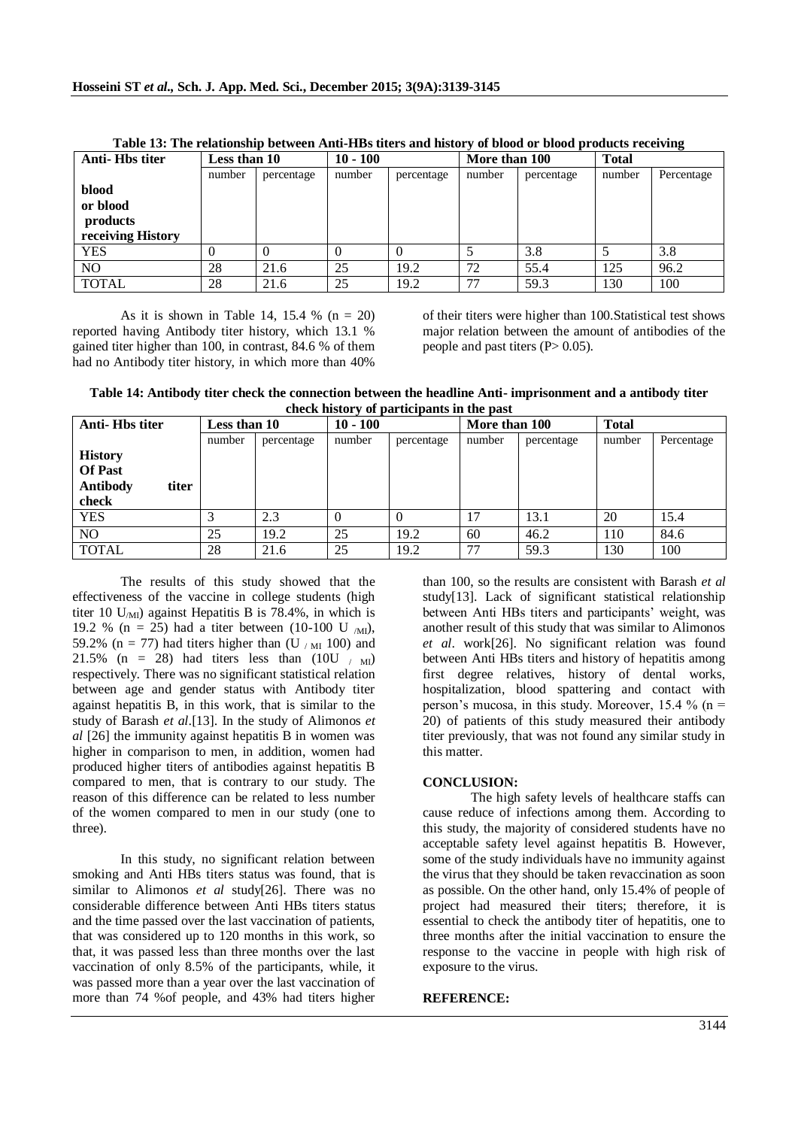| Anti-Hbs titer    | Less than 10 |            | $10 - 100$ |            | More than 100 |            | <b>Total</b> |            |
|-------------------|--------------|------------|------------|------------|---------------|------------|--------------|------------|
|                   | number       | percentage | number     | percentage | number        | percentage | number       | Percentage |
| blood             |              |            |            |            |               |            |              |            |
| or blood          |              |            |            |            |               |            |              |            |
| products          |              |            |            |            |               |            |              |            |
| receiving History |              |            |            |            |               |            |              |            |
| <b>YES</b>        |              |            |            |            |               | 3.8        |              | 3.8        |
| N <sub>O</sub>    | 28           | 21.6       | 25         | 19.2       | 72            | 55.4       | 125          | 96.2       |
| <b>TOTAL</b>      | 28           | 21.6       | 25         | 19.2       | 77            | 59.3       | 130          | 100        |

**Table 13: The relationship between Anti-HBs titers and history of blood or blood products receiving**

As it is shown in Table 14, 15.4 % ( $n = 20$ ) reported having Antibody titer history, which 13.1 % gained titer higher than 100, in contrast, 84.6 % of them had no Antibody titer history, in which more than 40%

of their titers were higher than 100.Statistical test shows major relation between the amount of antibodies of the people and past titers  $(P> 0.05)$ .

**Table 14: Antibody titer check the connection between the headline Anti- imprisonment and a antibody titer check history of participants in the past**

| Anti-Hbs titer           | Less than 10 |            | $10 - 100$ |            | More than 100 |            | <b>Total</b> |            |
|--------------------------|--------------|------------|------------|------------|---------------|------------|--------------|------------|
|                          | number       | percentage | number     | percentage | number        | percentage | number       | Percentage |
| <b>History</b>           |              |            |            |            |               |            |              |            |
| <b>Of Past</b>           |              |            |            |            |               |            |              |            |
| <b>Antibody</b><br>titer |              |            |            |            |               |            |              |            |
| check                    |              |            |            |            |               |            |              |            |
| <b>YES</b>               |              | 2.3        |            |            | 17            | 13.1       | 20           | 15.4       |
| NO.                      | 25           | 19.2       | 25         | 19.2       | 60            | 46.2       | 110          | 84.6       |
| <b>TOTAL</b>             | 28           | 21.6       | 25         | 19.2       | 77            | 59.3       | 130          | 100        |

The results of this study showed that the effectiveness of the vaccine in college students (high titer 10  $U_{\text{MI}}$  against Hepatitis B is 78.4%, in which is 19.2 % (n = 25) had a titer between (10-100 U  $_{\text{MI}}$ ), 59.2% (n = 77) had titers higher than (U  $/M_{\text{H}}$  100) and 21.5% (n = 28) had titers less than  $(10U / m)$ respectively. There was no significant statistical relation between age and gender status with Antibody titer against hepatitis B, in this work, that is similar to the study of Barash *et al*.[13]. In the study of Alimonos *et al* [26] the immunity against hepatitis B in women was higher in comparison to men, in addition, women had produced higher titers of antibodies against hepatitis B compared to men, that is contrary to our study. The reason of this difference can be related to less number of the women compared to men in our study (one to three).

In this study, no significant relation between smoking and Anti HBs titers status was found, that is similar to Alimonos *et al* study[26]. There was no considerable difference between Anti HBs titers status and the time passed over the last vaccination of patients, that was considered up to 120 months in this work, so that, it was passed less than three months over the last vaccination of only 8.5% of the participants, while, it was passed more than a year over the last vaccination of more than 74 %of people, and 43% had titers higher

than 100, so the results are consistent with Barash *et al* study[13]. Lack of significant statistical relationship between Anti HBs titers and participants' weight, was another result of this study that was similar to Alimonos *et al*. work[26]. No significant relation was found between Anti HBs titers and history of hepatitis among first degree relatives, history of dental works, hospitalization, blood spattering and contact with person's mucosa, in this study. Moreover, 15.4 % ( $n =$ 20) of patients of this study measured their antibody titer previously, that was not found any similar study in this matter.

#### **CONCLUSION:**

The high safety levels of healthcare staffs can cause reduce of infections among them. According to this study, the majority of considered students have no acceptable safety level against hepatitis B. However, some of the study individuals have no immunity against the virus that they should be taken revaccination as soon as possible. On the other hand, only 15.4% of people of project had measured their titers; therefore, it is essential to check the antibody titer of hepatitis, one to three months after the initial vaccination to ensure the response to the vaccine in people with high risk of exposure to the virus.

#### **REFERENCE:**